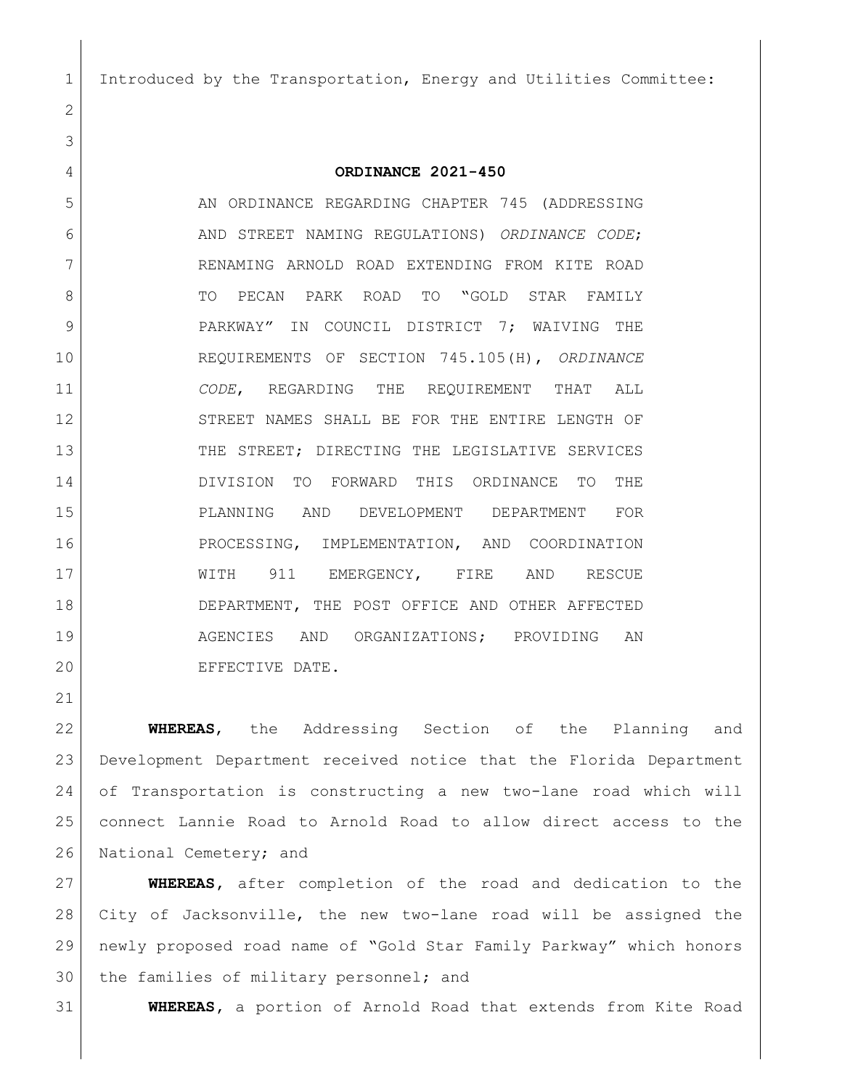Introduced by the Transportation, Energy and Utilities Committee:

## **ORDINANCE 2021-450**

5 AN ORDINANCE REGARDING CHAPTER 745 (ADDRESSING AND STREET NAMING REGULATIONS) *ORDINANCE CODE*; RENAMING ARNOLD ROAD EXTENDING FROM KITE ROAD 8 TO PECAN PARK ROAD TO "GOLD STAR FAMILY 9 PARKWAY" IN COUNCIL DISTRICT 7; WAIVING THE REQUIREMENTS OF SECTION 745.105(H), *ORDINANCE CODE*, REGARDING THE REQUIREMENT THAT ALL 12 STREET NAMES SHALL BE FOR THE ENTIRE LENGTH OF 13 THE STREET; DIRECTING THE LEGISLATIVE SERVICES DIVISION TO FORWARD THIS ORDINANCE TO THE PLANNING AND DEVELOPMENT DEPARTMENT FOR PROCESSING, IMPLEMENTATION, AND COORDINATION 17 | WITH 911 EMERGENCY, FIRE AND RESCUE 18 DEPARTMENT, THE POST OFFICE AND OTHER AFFECTED AGENCIES AND ORGANIZATIONS; PROVIDING AN 20 EFFECTIVE DATE.

 **WHEREAS**, the Addressing Section of the Planning and Development Department received notice that the Florida Department of Transportation is constructing a new two-lane road which will connect Lannie Road to Arnold Road to allow direct access to the 26 National Cemetery; and

 **WHEREAS,** after completion of the road and dedication to the City of Jacksonville, the new two-lane road will be assigned the newly proposed road name of "Gold Star Family Parkway" which honors 30 the families of military personnel; and

**WHEREAS,** a portion of Arnold Road that extends from Kite Road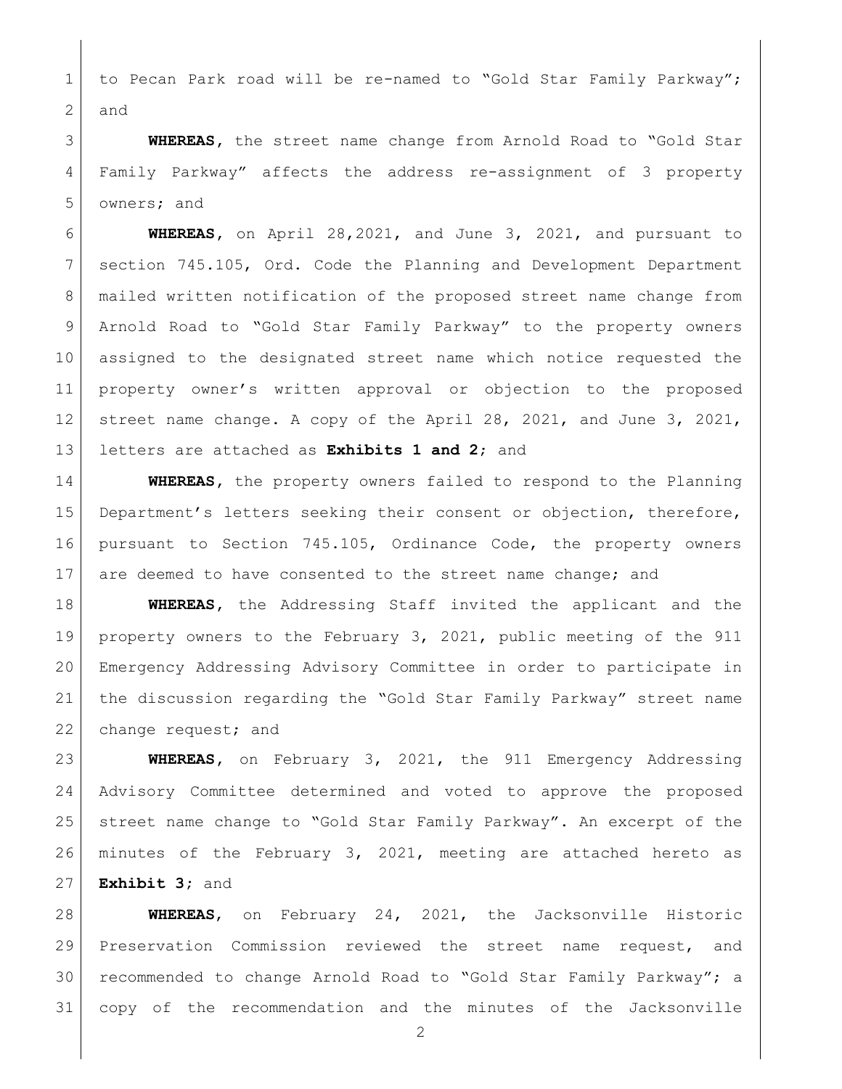1 to Pecan Park road will be re-named to "Gold Star Family Parkway"; and

 **WHEREAS,** the street name change from Arnold Road to "Gold Star Family Parkway" affects the address re-assignment of 3 property owners; and

 **WHEREAS,** on April 28,2021, and June 3, 2021, and pursuant to section 745.105, Ord. Code the Planning and Development Department 8 | mailed written notification of the proposed street name change from Arnold Road to "Gold Star Family Parkway" to the property owners assigned to the designated street name which notice requested the property owner's written approval or objection to the proposed 12 street name change. A copy of the April 28, 2021, and June 3, 2021, letters are attached as **Exhibits 1 and 2**; and

 **WHEREAS,** the property owners failed to respond to the Planning Department's letters seeking their consent or objection, therefore, pursuant to Section 745.105, Ordinance Code, the property owners 17 are deemed to have consented to the street name change; and

 **WHEREAS,** the Addressing Staff invited the applicant and the property owners to the February 3, 2021, public meeting of the 911 Emergency Addressing Advisory Committee in order to participate in the discussion regarding the "Gold Star Family Parkway" street name 22 change request; and

 **WHEREAS,** on February 3, 2021, the 911 Emergency Addressing Advisory Committee determined and voted to approve the proposed 25 | street name change to "Gold Star Family Parkway". An excerpt of the minutes of the February 3, 2021, meeting are attached hereto as **Exhibit 3;** and

 **WHEREAS**, on February 24, 2021, the Jacksonville Historic Preservation Commission reviewed the street name request, and recommended to change Arnold Road to "Gold Star Family Parkway"; a copy of the recommendation and the minutes of the Jacksonville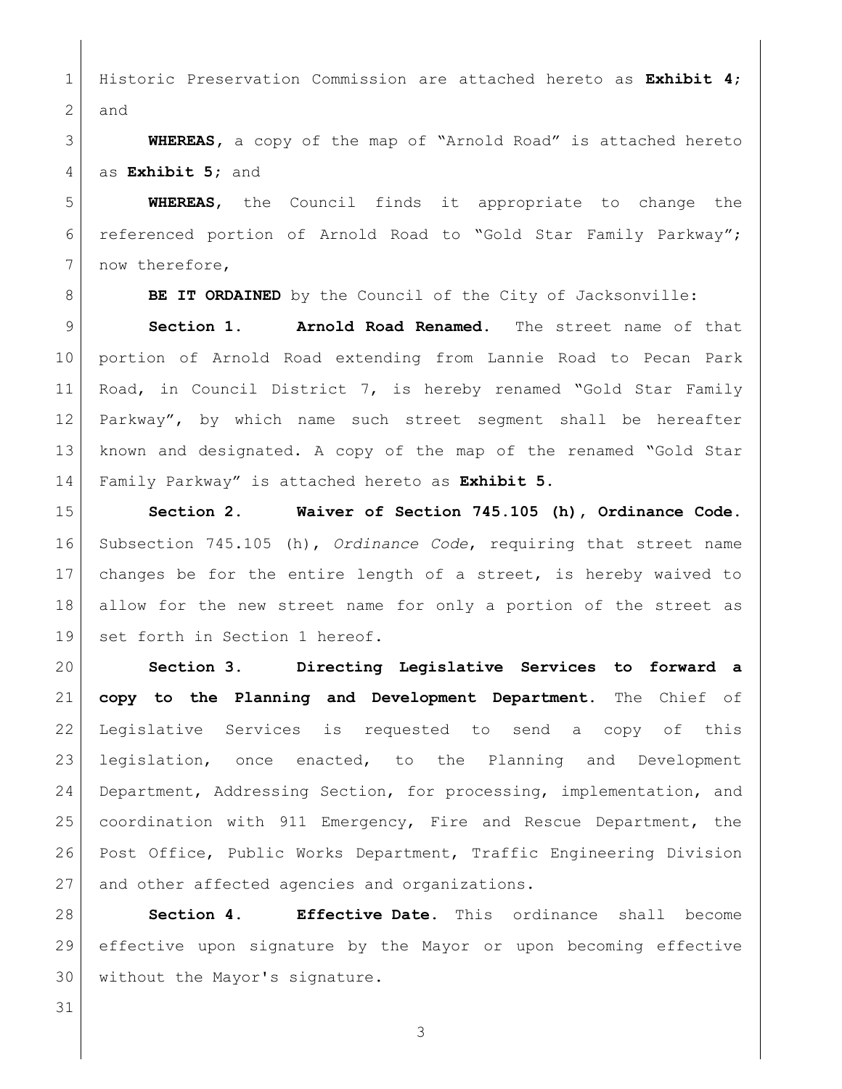Historic Preservation Commission are attached hereto as **Exhibit 4**; and

 **WHEREAS,** a copy of the map of "Arnold Road" is attached hereto as **Exhibit 5;** and

 **WHEREAS**, the Council finds it appropriate to change the referenced portion of Arnold Road to "Gold Star Family Parkway"; 7 now therefore,

**BE IT ORDAINED** by the Council of the City of Jacksonville:

 **Section 1. Arnold Road Renamed.** The street name of that portion of Arnold Road extending from Lannie Road to Pecan Park Road, in Council District 7, is hereby renamed "Gold Star Family Parkway", by which name such street segment shall be hereafter known and designated. A copy of the map of the renamed "Gold Star Family Parkway" is attached hereto as **Exhibit 5.**

 **Section 2. Waiver of Section 745.105 (h), Ordinance Code.** Subsection 745.105 (h), *Ordinance Code*, requiring that street name changes be for the entire length of a street, is hereby waived to allow for the new street name for only a portion of the street as 19 set forth in Section 1 hereof.

 **Section 3. Directing Legislative Services to forward a copy to the Planning and Development Department.** The Chief of Legislative Services is requested to send a copy of this legislation, once enacted, to the Planning and Development Department, Addressing Section, for processing, implementation, and coordination with 911 Emergency, Fire and Rescue Department, the Post Office, Public Works Department, Traffic Engineering Division 27 and other affected agencies and organizations.

 **Section 4. Effective Date.** This ordinance shall become effective upon signature by the Mayor or upon becoming effective without the Mayor's signature.